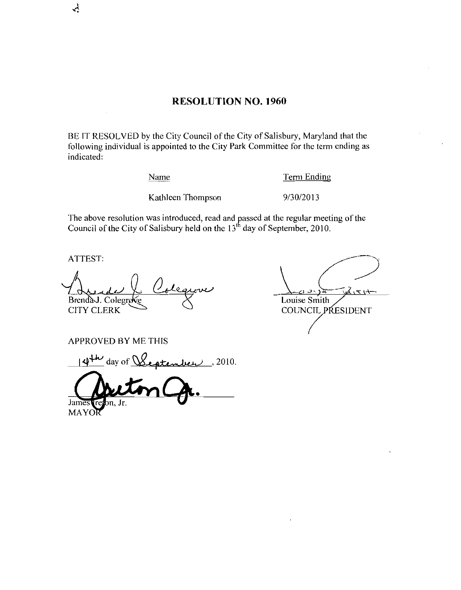## RESOLUTION NO. 1960

BE IT RESOLVED by the City Council of the City of Salisbury, Maryland that the following individual is appointed to the City Park Committee for the term ending as indicated Name Term Endi<br>Kathleen Thompson 9/30/2013

### Name Term Ending

The above resolution was introduced, read and passed at the regular meeting of the Council of the City of Salisbury held on the 13<sup>th</sup> day of September, 2010.

ATTEST

 $\sim$ 

BrendaJ. Colegro

Louise Smith COUNCIL PRESIDENT

APPROVED BY ME THIS

 $\overbrace{\mathbf{a}}^{\mathbf{14^{+iv}}}$  day of  $\mathcal{Q}_{\mathbf{44^{+iv}}}$  2010.

Jame

MAYO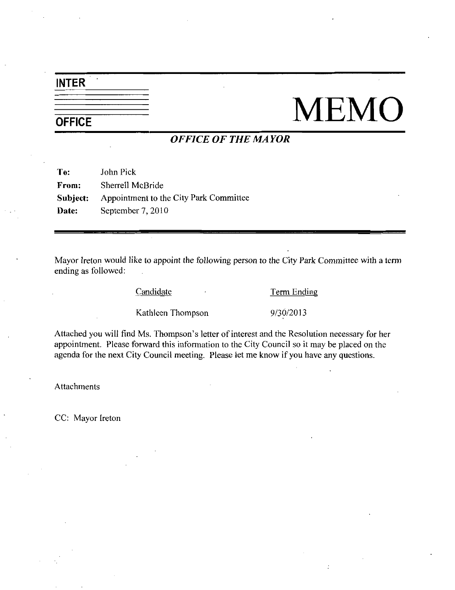# INTER

# $\frac{1}{\frac{1}{\text{OFFICE}}}$  MEMO

## OFFICE OF THE MAYOR

To: John Pick From: Sherrell McBride Subject: Appointment to the City Park Committee Date: September 7, 2010

Mayor Ireton would like to appoint the following person to the City Park Committee with <sup>a</sup> term ending as followed Eandidate Term Endi<br>Kathleen Thompson 9/30/2013

Candidate **Term Ending** 

Candidate Candidate Term Ending<br>
Candidate Term Ending<br>
Kathleen Thompson<br>
Sletter of interest and the Resolution necessary for her<br>
appointment. Please forward this information to the City Council so it may be placed on t appointment. Please forward this information to the City Council so it may be placed on the agenda for the next City Council meeting. Please let me know if you have any questions.

Attachments

CC: Mayor Ireton